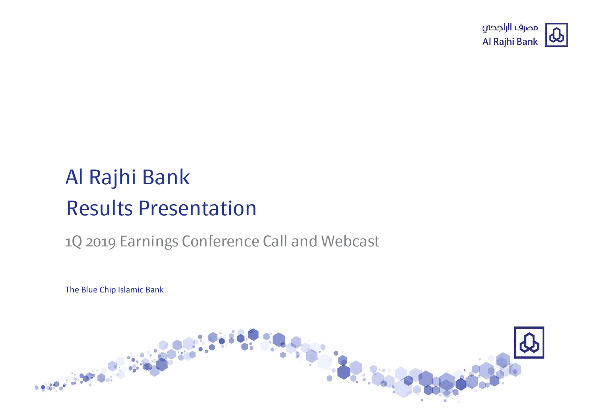

# Al Rajhi Bank Results Presentation

### 1Q 2019 Earnings Conference Call and Webcast

The Blue Chip Islamic Bank

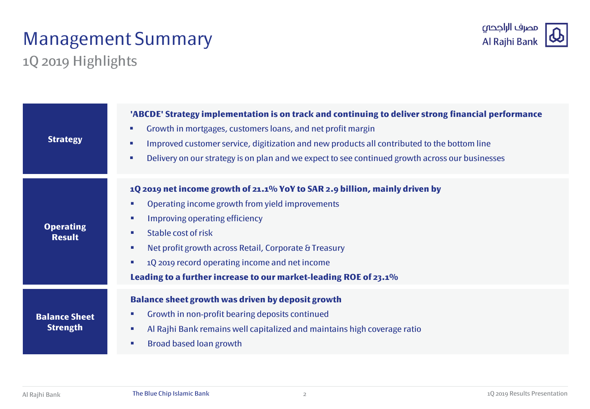## Management Summary



1Q 2019 Highlights

| <b>Strategy</b>                         | 'ABCDE' Strategy implementation is on track and continuing to deliver strong financial performance<br>Growth in mortgages, customers loans, and net profit margin<br>$\mathcal{L}_{\mathcal{A}}$<br>Improved customer service, digitization and new products all contributed to the bottom line<br><b>COL</b><br>Delivery on our strategy is on plan and we expect to see continued growth across our businesses<br>$\mathcal{L}_{\mathcal{A}}$ |
|-----------------------------------------|-------------------------------------------------------------------------------------------------------------------------------------------------------------------------------------------------------------------------------------------------------------------------------------------------------------------------------------------------------------------------------------------------------------------------------------------------|
| <b>Operating</b><br><b>Result</b>       | 1Q 2019 net income growth of 21.1% YoY to SAR 2.9 billion, mainly driven by<br>Operating income growth from yield improvements<br>×<br>Improving operating efficiency<br>×<br>Stable cost of risk<br>$\overline{\phantom{a}}$<br>Net profit growth across Retail, Corporate & Treasury<br>×<br>1Q 2019 record operating income and net income<br>×<br>Leading to a further increase to our market-leading ROE of 23.1%                          |
| <b>Balance Sheet</b><br><b>Strength</b> | <b>Balance sheet growth was driven by deposit growth</b><br>Growth in non-profit bearing deposits continued<br>ш<br>Al Rajhi Bank remains well capitalized and maintains high coverage ratio<br>×<br><b>Broad based loan growth</b><br>$\overline{\phantom{a}}$                                                                                                                                                                                 |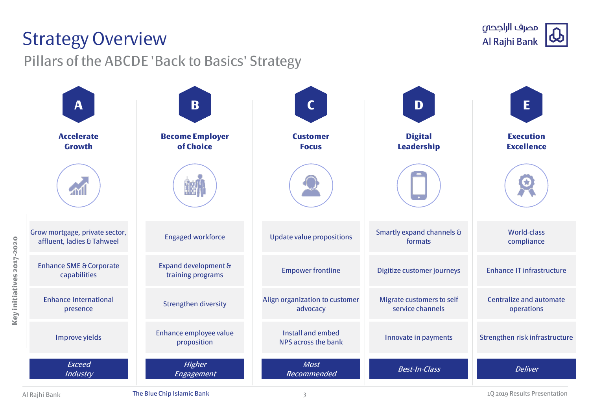### Strategy Overview

Pillars of the ABCDE 'Back to Basics' Strategy



**Key initiatives 2017-2020**

Key initiatives 2017-2020

Al Rajhi Bank **The Blue Chip Islamic Bank** 1Q 2019 Results Presentation and the Blue Chip Islamic Bank 1Q 2019 Results Presentation

مصرف الراجحى Al Rajhi Bank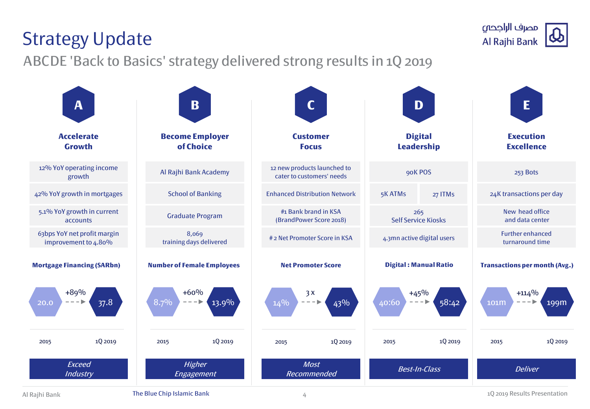#### 4

Al Rajhi Bank **The Blue Chip Islamic Bank** 1Q 2019 Results Presentation and the Blue Chip Islamic Bank 1Q 2019 Results Presentation

# Strategy Update

ABCDE 'Back to Basics' strategy delivered strong results in 1Q 2019

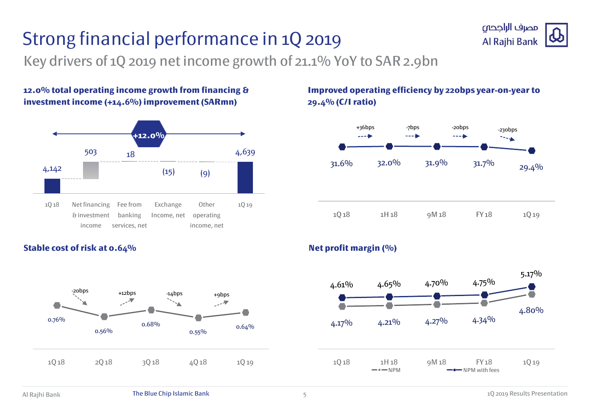# Strong financial performance in 1Q 2019



Key drivers of 1Q 2019 net income growth of 21.1% YoY to SAR 2.9bn

**12.0% total operating income growth from financing & investment income (+14.6%) improvement (SARmn)**



#### **Improved operating efficiency by 220bps year-on-year to 29.4% (C/I ratio)**





#### **Stable cost of risk at 0.64% Net profit margin (%) Net profit margin (%)**

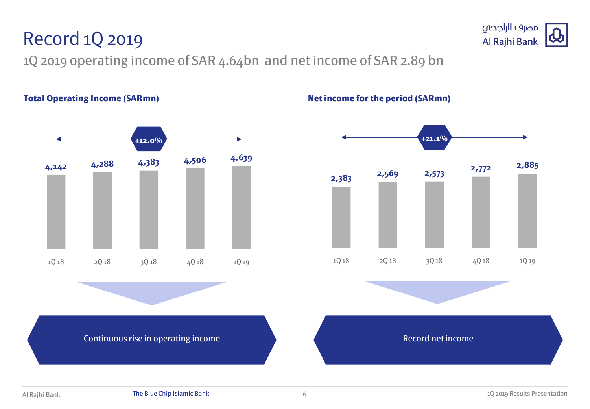### Record 1Q 2019

1Q 2019 operating income of SAR 4.64bn and net income of SAR 2.89 bn







Continuous rise in operating income **Record net income** Record net income

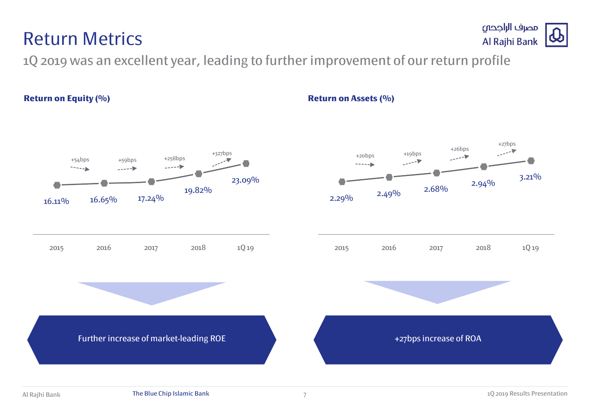## 1Q 2019 was an excellent year, leading to further improvement of our return profile

Return Metrics

#### **Return on Equity (%) Return on Assets (%)**



7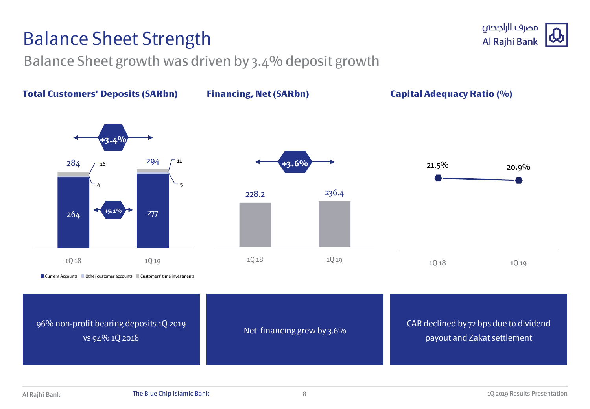## Balance Sheet Strength

Balance Sheet growth was driven by 3.4% deposit growth



8

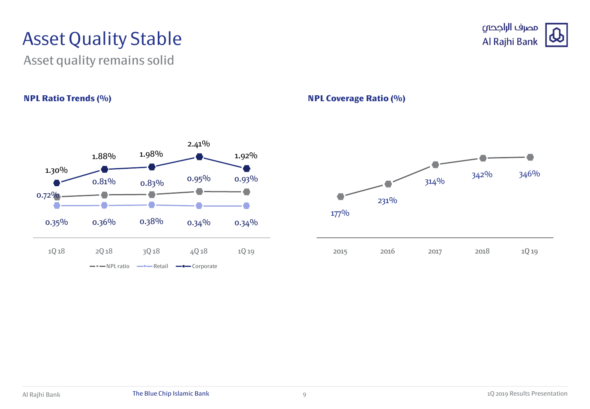## Asset Quality Stable

Asset quality remains solid



### مصرف الراجحي Al Rajhi Bank

**NPL Ratio Trends (%) NPL Coverage Ratio (%)**

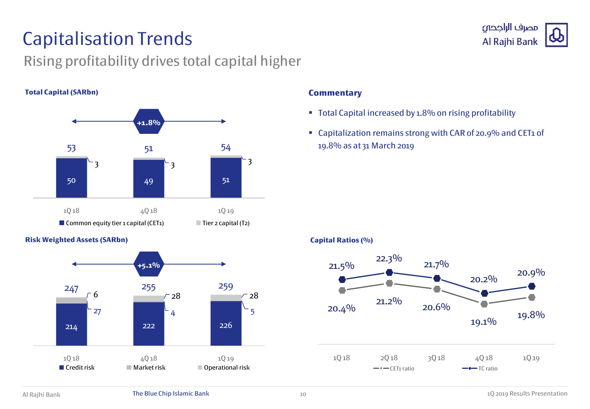## Capitalisation Trends

### Rising profitability drives total capital higher

#### **Total Capital (SARbn)**



#### **Risk Weighted Assets (SARbn)**



#### **Commentary**

- Total Capital increased by 1.8% on rising profitability
- Capitalization remains strong with CAR of 20.9% and CET1 of 19.8% as at 31 March 2019

#### **Capital Ratios (%)**



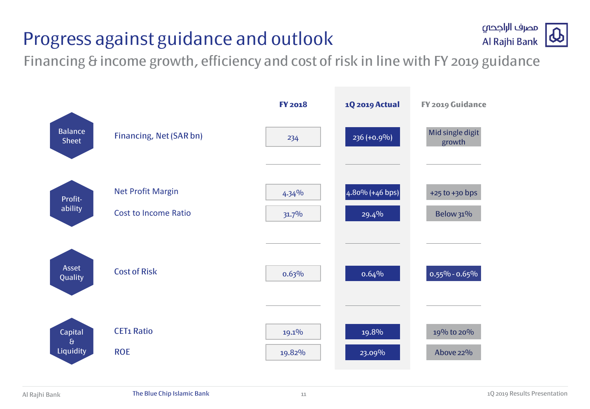## Progress against guidance and outlook



Financing & income growth, efficiency and cost of risk in line with FY 2019 guidance

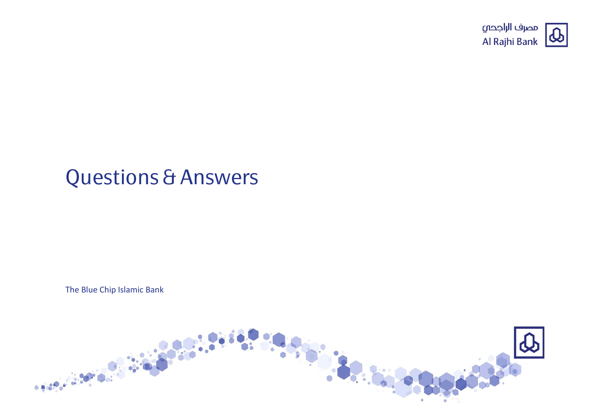

## Questions & Answers

The Blue Chip Islamic Bank

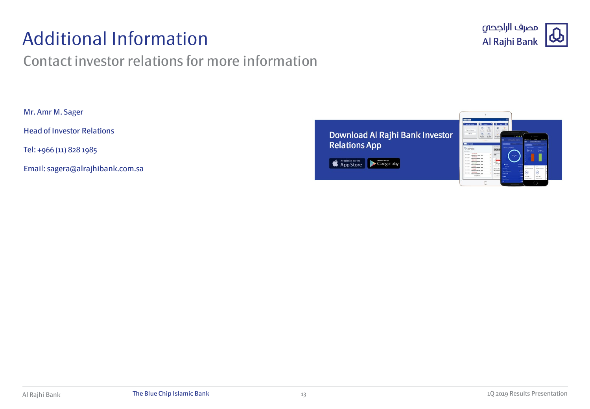## Additional Information

### Contact investor relations for more information



Mr. Amr M. Sager

Head of Investor Relations

Tel: +966 (11) 828 1985

Email: sagera@alrajhibank.com.sa

Download Al Rajhi Bank Investor **Relations App** 

App Store Coogle play